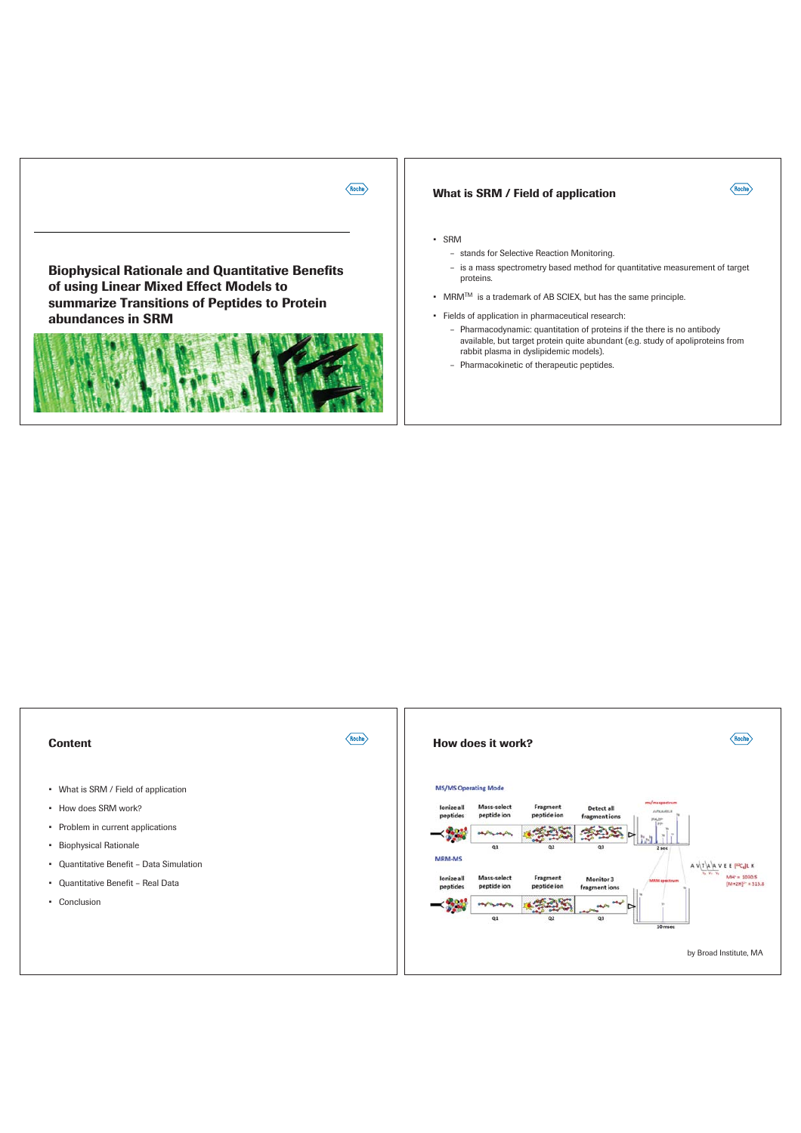

# What is SRM / Field of application



### - SRM

 $\langle$ Roche $\rangle$ 

- stands for Selective Reaction Monitoring.
- is a mass spectrometry based method for quantitative measurement of target proteins.
- MRM<sup>TM</sup> is a trademark of AB SCIEX, but has the same principle.
- · Fields of application in pharmaceutical research:
	- Pharmacodynamic: quantitation of proteins if the there is no antibody r unmanisory maintain put the abundant (e.g. study of apoliproteins from<br>rabbit plasma in dyslipidemic models).
	- Pharmacokinetic of therapeutic peptides.

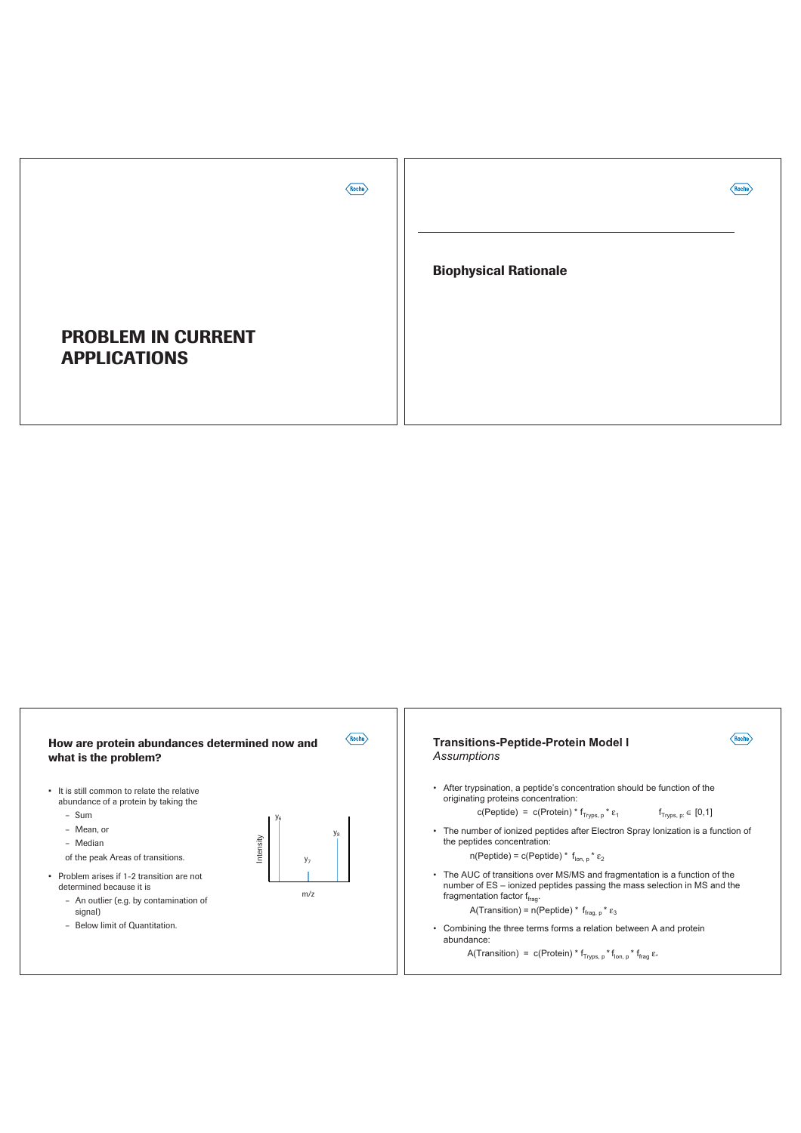

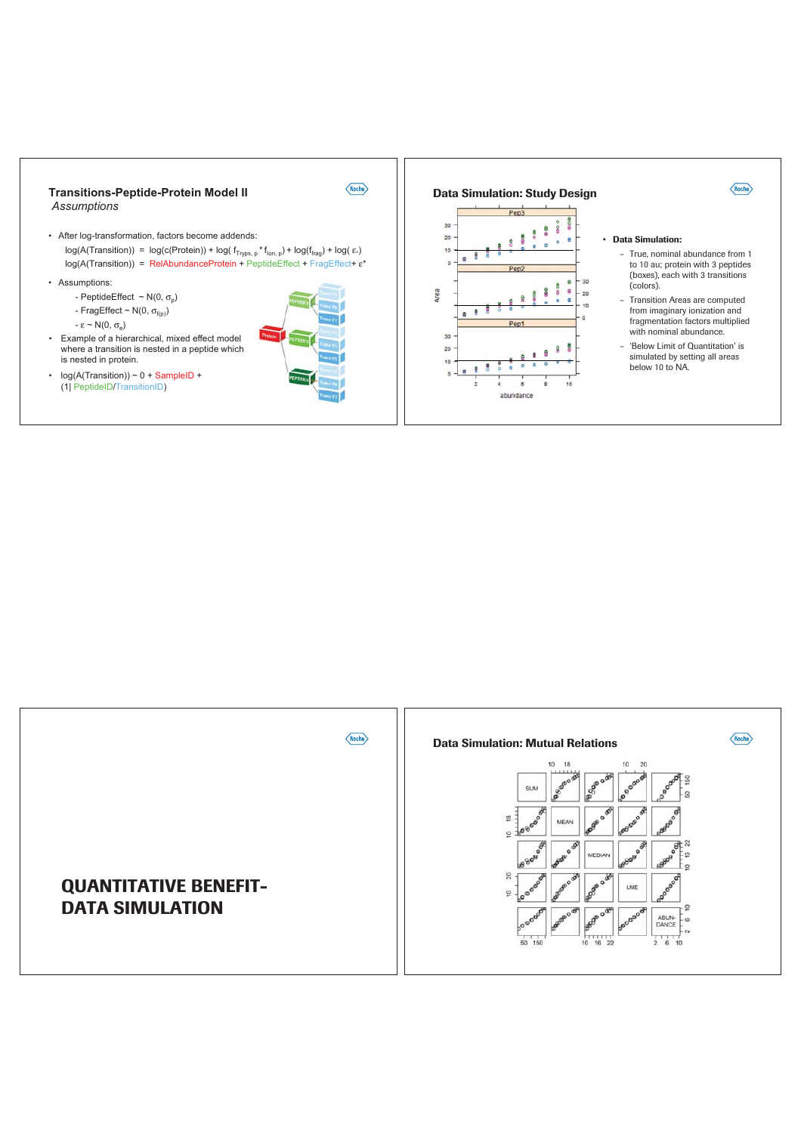

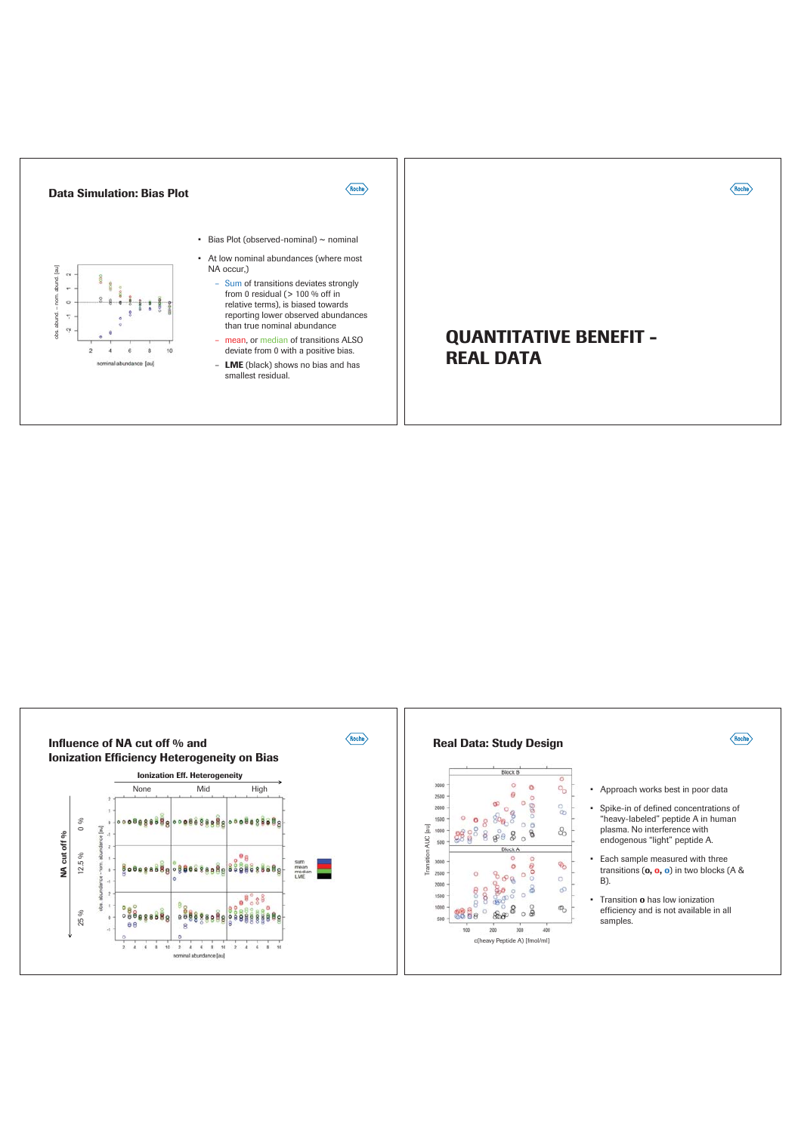

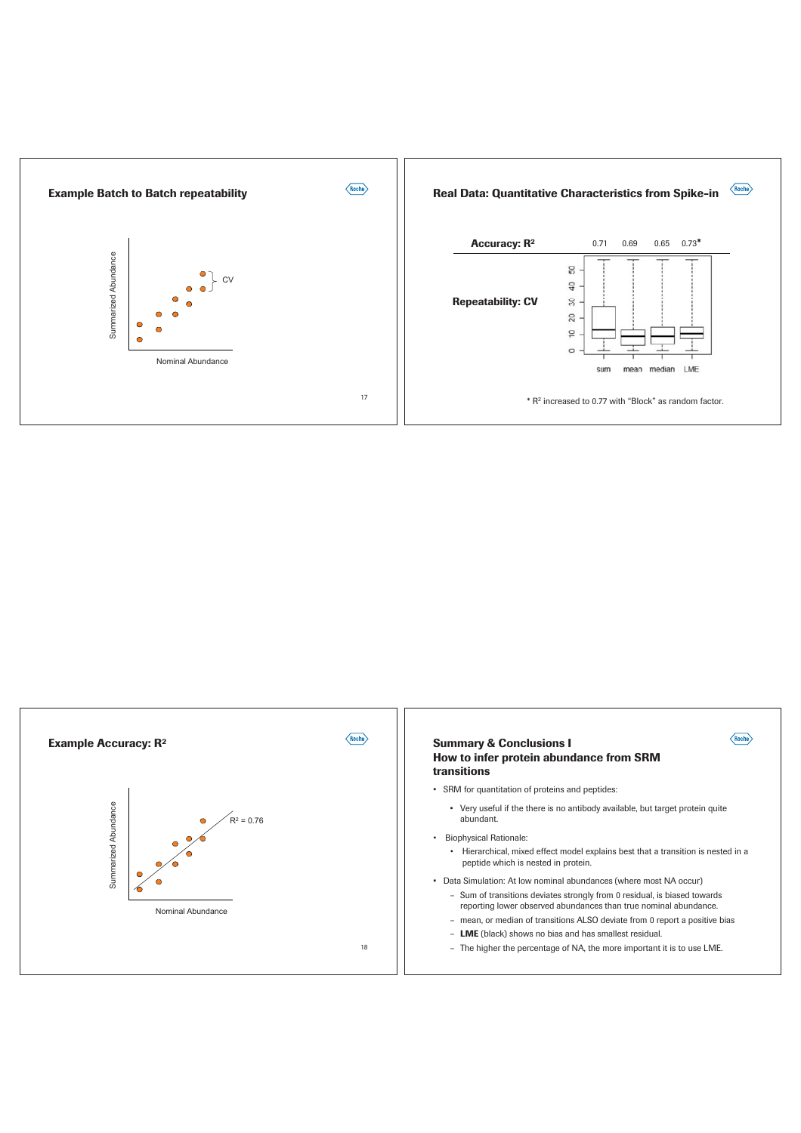

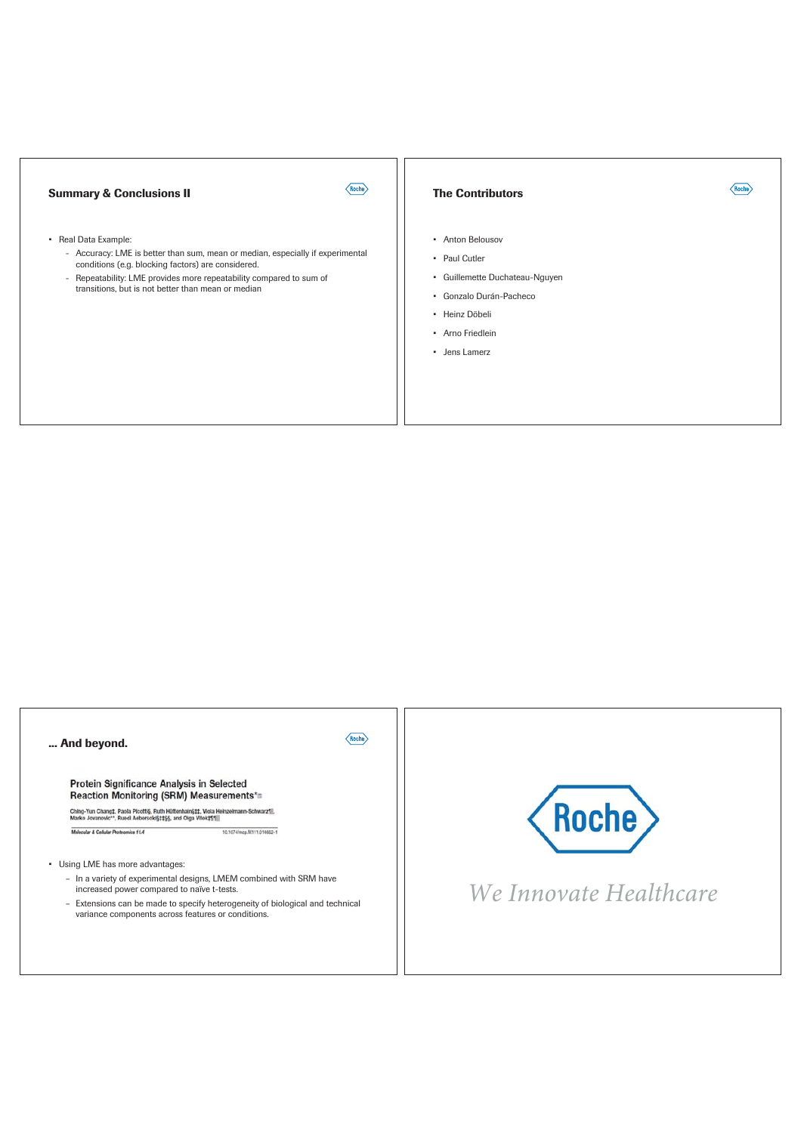# **Summary & Conclusions II**

 $\langle$ Roche $\rangle$ 

#### • Real Data Example:

- Accuracy: LME is better than sum, mean or median, especially if experimental conditions (e.g. blocking factors) are considered.
- Repeatability: LME provides more repeatability compared to sum of transitions, but is not better than mean or median

### **The Contributors**

- Anton Belousov
- Paul Cutler
- · Guillemette Duchateau-Nguyen

 $\langle$ Roche $\rangle$ 

- · Gonzalo Durán-Pacheco
- · Heinz Döbeli
- · Arno Friedlein
- · Jens Lamerz

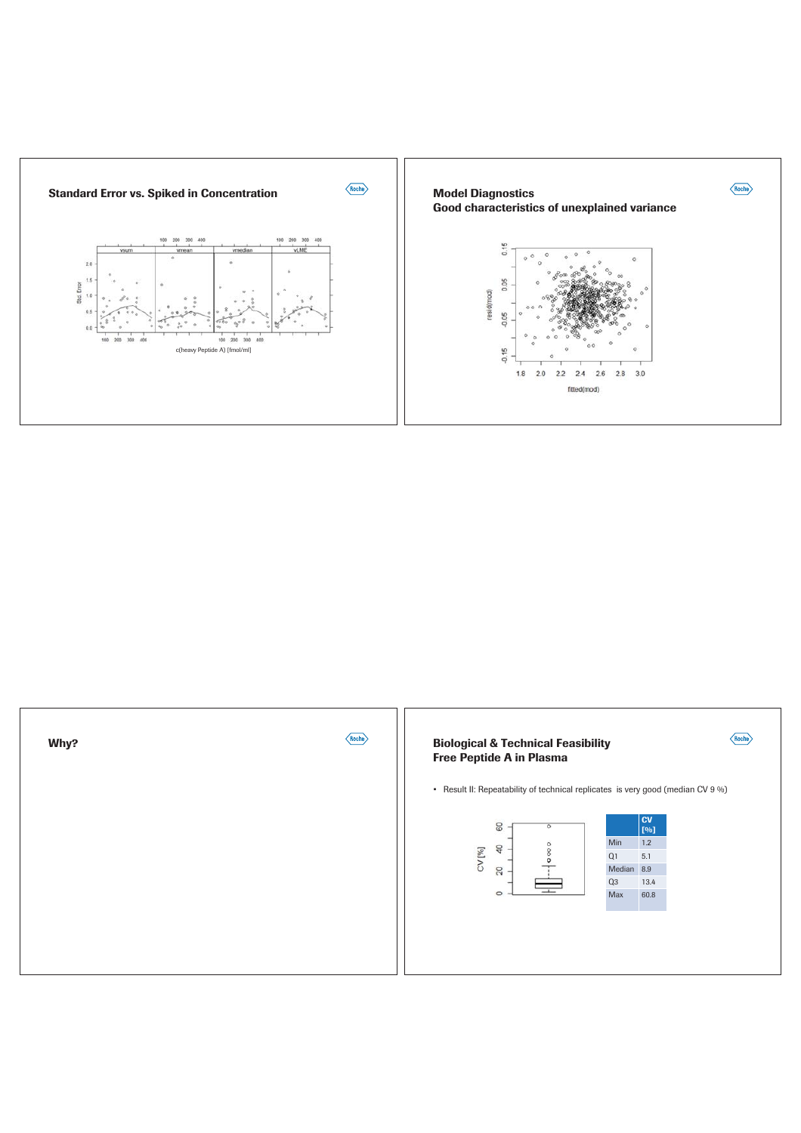